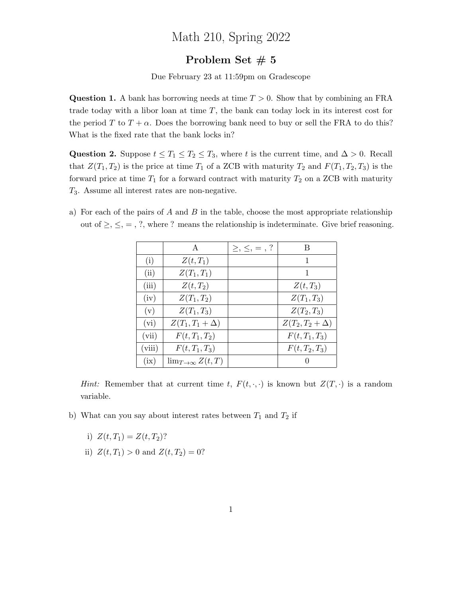## Math 210, Spring 2022

## Problem Set  $# 5$

Due February 23 at 11:59pm on Gradescope

**Question 1.** A bank has borrowing needs at time  $T > 0$ . Show that by combining an FRA trade today with a libor loan at time  $T$ , the bank can today lock in its interest cost for the period T to  $T + \alpha$ . Does the borrowing bank need to buy or sell the FRA to do this? What is the fixed rate that the bank locks in?

Question 2. Suppose  $t \leq T_1 \leq T_2 \leq T_3$ , where t is the current time, and  $\Delta > 0$ . Recall that  $Z(T_1, T_2)$  is the price at time  $T_1$  of a ZCB with maturity  $T_2$  and  $F(T_1, T_2, T_3)$  is the forward price at time  $T_1$  for a forward contract with maturity  $T_2$  on a ZCB with maturity  $T_3$ . Assume all interest rates are non-negative.

a) For each of the pairs of A and B in the table, choose the most appropriate relationship out of  $\geq$ ,  $\leq$ ,  $=$ , ?, where ? means the relationship is indeterminate. Give brief reasoning.

|        | A                          | $\geq, \leq, =, ?$ | В                   |
|--------|----------------------------|--------------------|---------------------|
| (i)    | $Z(t,T_1)$                 |                    | 1                   |
| (ii)   | $Z(T_1,T_1)$               |                    | 1                   |
| (iii)  | $Z(t,T_2)$                 |                    | $Z(t,T_3)$          |
| (iv)   | $Z(T_1,T_2)$               |                    | $Z(T_1,T_3)$        |
| (v)    | $Z(T_1, T_3)$              |                    | $Z(T_2,T_3)$        |
| (vi)   | $Z(T_1,T_1+\Delta)$        |                    | $Z(T_2,T_2+\Delta)$ |
| (vii)  | $F(t, T_1, T_2)$           |                    | $F(t, T_1, T_3)$    |
| (viii) | $F(t, T_1, T_3)$           |                    | $F(t, T_2, T_3)$    |
| (ix)   | $\lim_{T\to\infty} Z(t,T)$ |                    |                     |

*Hint:* Remember that at current time t,  $F(t, \cdot, \cdot)$  is known but  $Z(T, \cdot)$  is a random variable.

- b) What can you say about interest rates between  $T_1$  and  $T_2$  if
	- i)  $Z(t, T_1) = Z(t, T_2)$ ?
	- ii)  $Z(t, T_1) > 0$  and  $Z(t, T_2) = 0$ ?